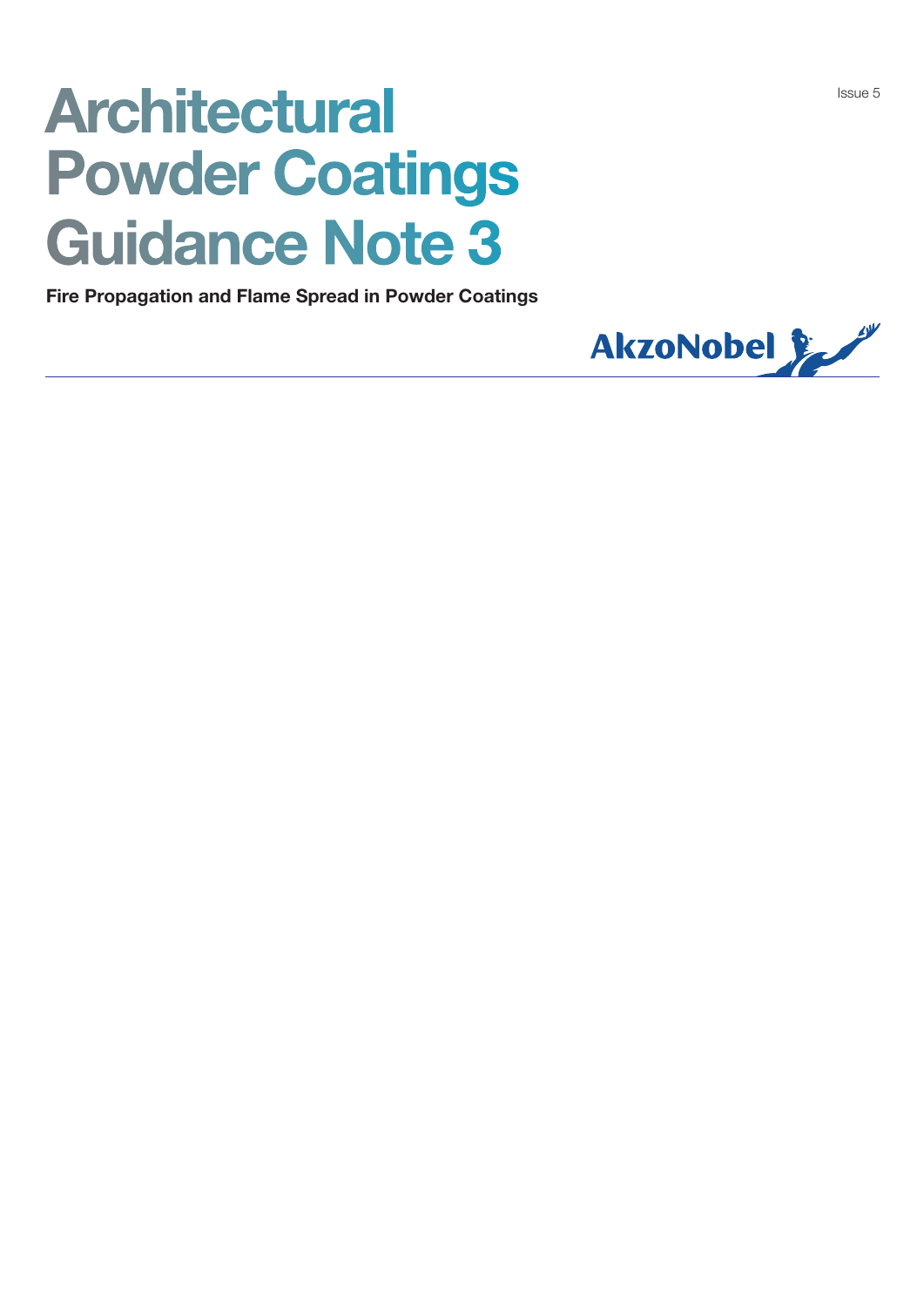# **Architectural** Powder Coatings Guidance Note 3<br>Fire Propagation and Flame Spread in Powder Coatings

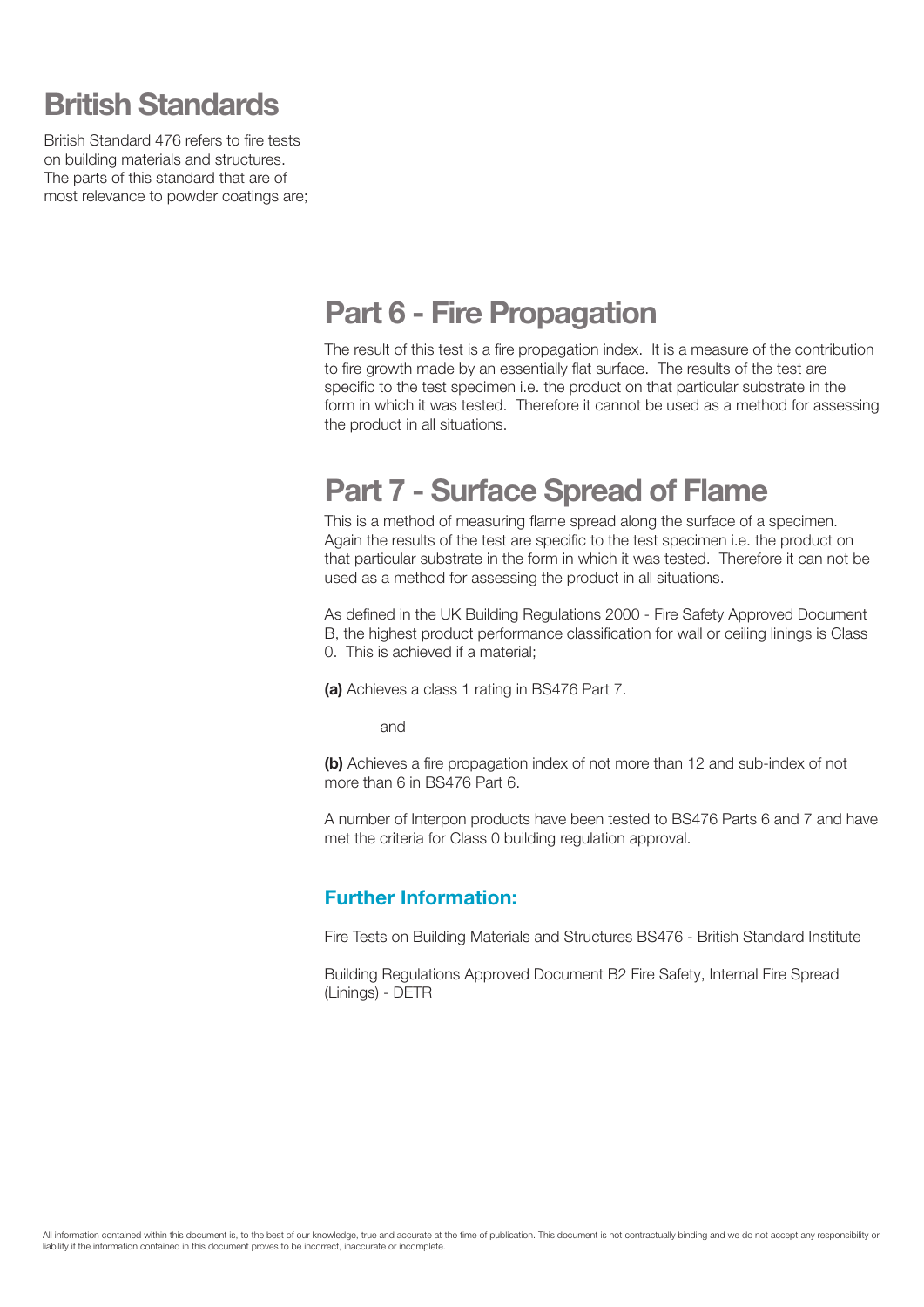# British Standards

British Standard 476 refers to fire tests on building materials and structures. The parts of this standard that are of most relevance to powder coatings are;

### Part 6 - Fire Propagation

The result of this test is a fire propagation index. It is a measure of the contribution to fire growth made by an essentially flat surface. The results of the test are specific to the test specimen i.e. the product on that particular substrate in the form in which it was tested. Therefore it cannot be used as a method for assessing the product in all situations.

## Part 7 - Surface Spread of Flame

This is a method of measuring flame spread along the surface of a specimen. Again the results of the test are specific to the test specimen i.e. the product on that particular substrate in the form in which it was tested. Therefore it can not be used as a method for assessing the product in all situations.

As defined in the UK Building Regulations 2000 - Fire Safety Approved Document B, the highest product performance classification for wall or ceiling linings is Class 0. This is achieved if a material;

(a) Achieves a class 1 rating in BS476 Part 7.

and

(b) Achieves a fire propagation index of not more than 12 and sub-index of not more than 6 in BS476 Part 6.

A number of Interpon products have been tested to BS476 Parts 6 and 7 and have met the criteria for Class 0 building regulation approval.

#### Further Information:

Fire Tests on Building Materials and Structures BS476 - British Standard Institute

Building Regulations Approved Document B2 Fire Safety, Internal Fire Spread (Linings) - DETR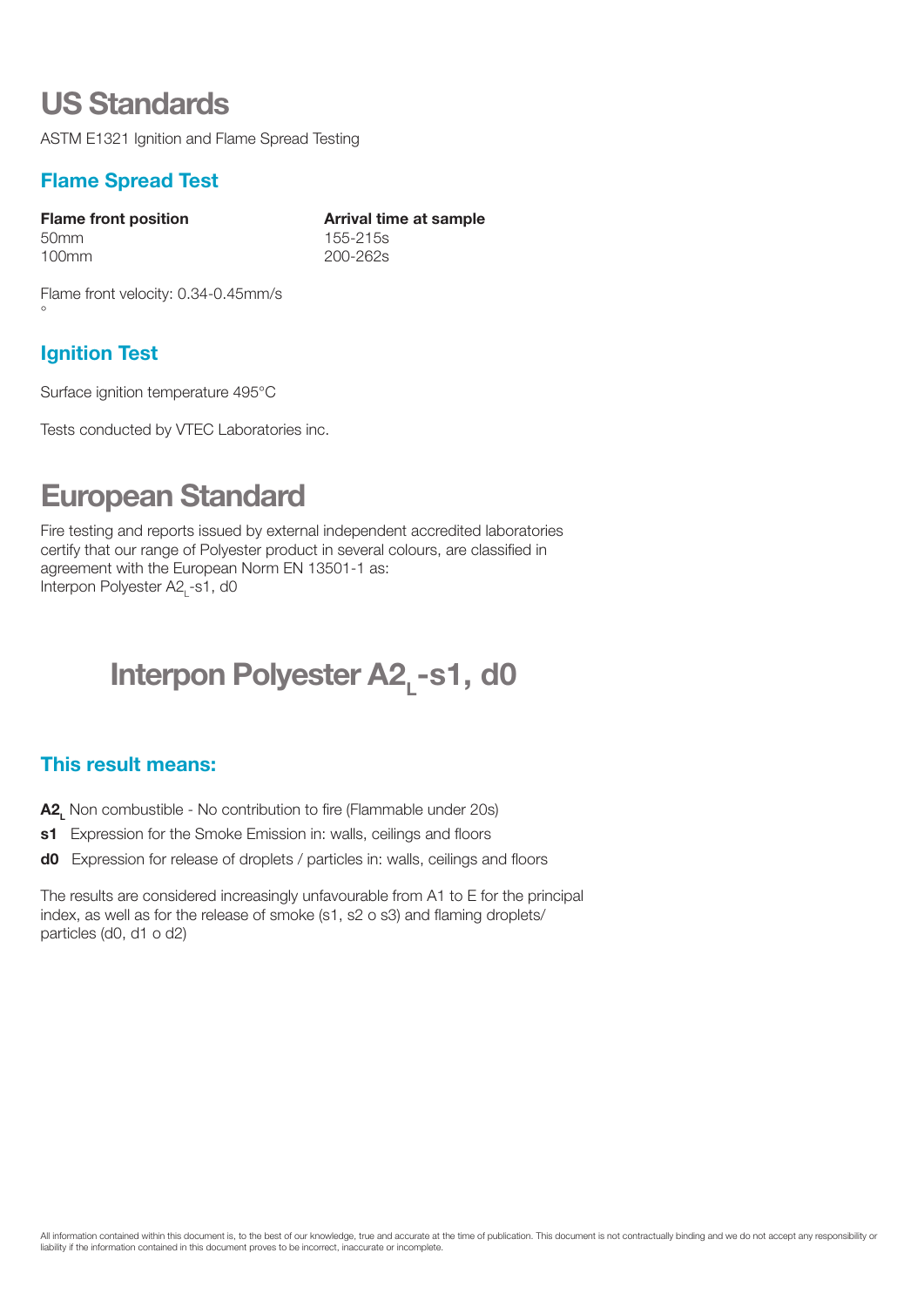## US Standards

ASTM E1321 Ignition and Flame Spread Testing

#### Flame Spread Test

50mm 155-215s 100mm 200-262s

Flame front position The Arrival time at sample

Flame front velocity: 0.34-0.45mm/s °

#### Ignition Test

Surface ignition temperature 495°C

Tests conducted by VTEC Laboratories inc.

# European Standard

Fire testing and reports issued by external independent accredited laboratories certify that our range of Polyester product in several colours, are classified in agreement with the European Norm EN 13501-1 as: Interpon Polyester A2<sub>L</sub>-s1, d0

# Interpon Polyester A2, -s1, d0

#### This result means:

- A2, Non combustible No contribution to fire (Flammable under 20s)
- s1 Expression for the Smoke Emission in: walls, ceilings and floors
- do Expression for release of droplets / particles in: walls, ceilings and floors

The results are considered increasingly unfavourable from A1 to E for the principal index, as well as for the release of smoke (s1, s2 o s3) and flaming droplets/ particles (d0, d1 o d2)